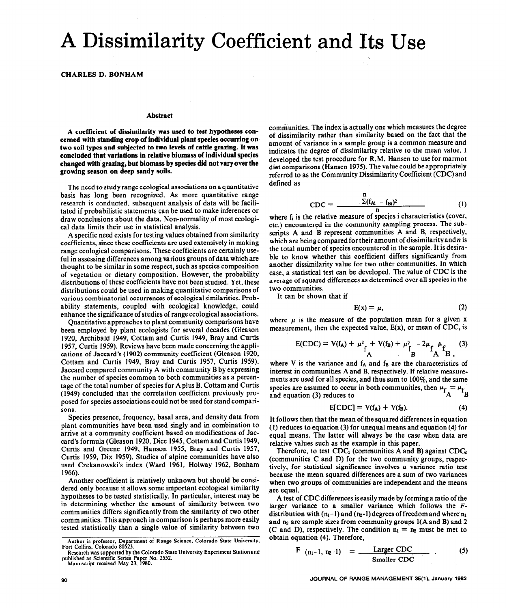## A Dissimilarity Coefficient and Its Use

**CHARLES D. BONHAM** 

## **Abstract**

**A coefficient of dissimilarity was used to test hypotheses concerned with standing crop of individual plant species occurring on two soil types and subjected to two levels of cattle grazing. It was concluded that variations in relative biomass of individual species changed with grazing, but biomass by species did not** vary **over the growing season on deep sandy soils.** 

The need to study range ecological associations on a quantitative basis has long been recognized. As more quantitative range research is conducted, subsequent analysis of data will be facilitated if probabilistic statements can be used to make inferences or draw conclusions about the data. Non-normality of most ecological data limits their use in statistical analysis.

A specific need exists for testing values obtained from similarity coefficients, since these coefficients are used extensively in making range ecological comparisons. These coefficients are certainly useful in assessing differences among various groups of data which are thought to be similar in some respect, such as species composition of vegetation or dietary composition. However, the probability distributions of these coefficients have not been studied. Yet, these distributions could be used in making quantitative comparisons of various combinatorial occurrences of ecological similarities. Probability statements, coupled with ecological knowledge, could enhance the significance of studies of range ecological associations.

Quantitative approaches to plant community comparisons have been employed by plant ecologists for several decades (Gleason 1920, Archibald 1949, Cottam and Curtis 1949, Bray and Curtis 1957, Curtis 1959). Reviews have been made concerning the applications of Jaccard's (1902) community coefficient (Gleason 1920, Cottam and Curtis 1949, Bray and Curtis 1957, Curtis 1959). Jaccard compared community A with community B by expressing the number of species common to both communities as a percentage of the total number of species for A plus B. Cottam and Curtis (1949) concluded that the correlation coefficient previously proposed for species associations could not be used for stand comparisons.

Species presence, frequency, basal area, and density data from plant communities have been used singly and in combination to arrive at a community coefficient based on modifications of Jaccard's formula (Gleason 1920, Dice 1945, Cottam and Curtis 1949, Curtis and Greene 1949, Hanson 1955, Bray and Curtis 1957, Curtis 1959, Dix 1959). Studies of alpine communities have also used Czekanowski's index (Ward 1961, Holway 1962, Bonham 1966).

Another coefficient is relatively unknown but should be considered only because it allows some important ecological similarity hypotheses to be tested statistically. In particular, interest may be in determining whether the amount of similarity between two communities differs significantly from the similarity of two other communities. This approach in comparison is perhaps more easily tested statistically than a single value of similarity between two communities. The index is actually one which measures the degree of dissimilarity rather than similarity based on the fact that the amount of variance in a sample group is a common measure and indicates the degree of dissimilarity relative to the mean value. 1 developed the test procedure for R.M. Hansen to use for marmot diet comparisons (Hansen 1975). The value could be appropriately referred to as the Community Dissimilarity Coefficient (CDC) and defined as

$$
CDC = \frac{\sum_{i=1}^{n} (f_{Ai} - f_{Bi})^{2}}{n}
$$
 (1)

where  $f_i$  is the relative measure of species i characteristics (cover, etc.) encountered in the community sampling process. The subscripts A and B represent communities A and B, respectively, which are being compared for their amount of dissimilarity and n is the total number of species encountered in the sample. It is desirable to know whether this coefficient differs significantly from another dissimilarity value for two other communities. In which case, a statistical test can be developed. The value of CDC is the average of squared differences as determined over all species in the two communities.

It can be shown that if

$$
E(x) = \mu, \tag{2}
$$

where  $\mu$  is the measure of the population mean for a given x measurement, then the expected value, E(x), or mean of **CDC,** is

$$
E(CDC) = V(f_A) + \mu^2 \n\begin{bmatrix}\n+ V(f_B) + \mu^2 \n\end{bmatrix} - 2\mu \n\begin{bmatrix}\n+ \mu^2 \n\end{bmatrix} + \n\begin{bmatrix}\n-3 \\
A\n\end{bmatrix}
$$
\n(A)

where V is the variance and  $f_A$  and  $f_B$  are the characteristics of interest in communities A and B, respectively. If relative measurements are used for all species, and thus sum to  $100\%$ , and the same species are assumed to occur in both communities, then  $\mu_f = \mu_f$ . and equation (3) reduces to A B

$$
E[CDC] = V(f_A) + V(f_B). \tag{4}
$$

It follows then that the mean of the squared differences in equation (1) reduces to equation (3) for unequal means and equation (4) for equal means. The latter will always be the case when data are relative values such as the example in this paper.

Therefore, to test  $CDC<sub>1</sub>$  (communities A and B) against  $CDC<sub>2</sub>$ (communities C and D) for the two community groups, respectively, for statistical significance involves a variance ratio test because the mean squared differences are a sum of two variances when two groups of communities are independent and the means are equal.

A test of CDC differences is easily made by forming a ratio of the larger variance to a smaller variance which follows the Fdistribution with  $(n_1-1)$  and  $(n_2-1)$  degrees of freedom and where  $n_1$ and  $n_2$  are sample sizes from community groups  $I(A \text{ and } B)$  and  $2$ (C and D), respectively. The condition  $n_1 = n_2$  must be met to obtain equation (4). Therefore,

$$
F (n_1-1, n_2-1) = \underbrace{\text{Larger CDC}}_{\text{Smaller CDC}} \tag{5}
$$

**Author is professor, Department of Range Science, Colorado State University, Fort Collins, Colorado 80523.** 

**Research was supported by the Colorado State University Experiment Stationand published as Scientific Series Paper No. 2552. Manuscript received May 23, 1980.**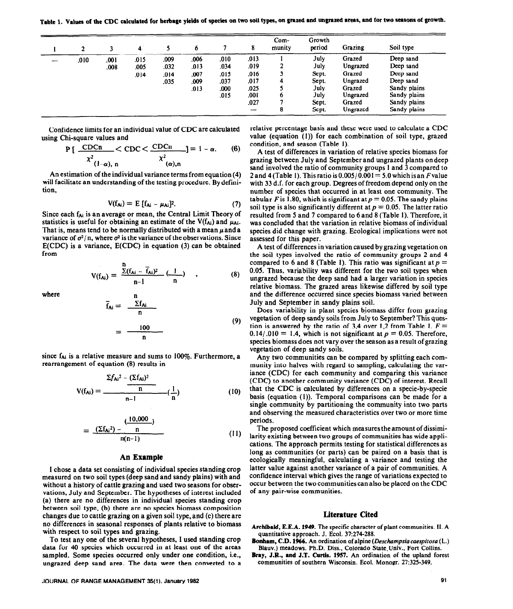Table 1. Values of the CDC calculated for herbage yields of species on two soil types, on grazed and ungrazed areas, and for two seasons of growth.

|  |      |      | 4    |      | $\bullet$ |      | 8    | Com-<br>munity | Growth<br>period | Grazing  | Soil type    |
|--|------|------|------|------|-----------|------|------|----------------|------------------|----------|--------------|
|  | .010 | .001 | .015 | .009 | .006      | .010 | .013 |                | July             | Grazed   | Deep sand    |
|  |      | .008 | .005 | .032 | .013      | .034 | .019 | 2              | July             | Ungrazed | Deep sand    |
|  |      |      | .014 | .014 | .007      | .015 | .016 |                | Sept.            | Grazed   | Deep sand    |
|  |      |      |      | .035 | .009      | .037 | .017 | 4              | Sept.            | Ungrazed | Deep sand    |
|  |      |      |      |      | .013      | .000 | .025 |                | July             | Grazed   | Sandy plains |
|  |      |      |      |      |           | .015 | .001 | o              | July             | Ungrazed | Sandy plains |
|  |      |      |      |      |           |      | .027 |                | Sept.            | Grazed   | Sandy plains |
|  |      |      |      |      |           |      | --   | 8              | Sept.            | Ungrazed | Sandy plains |

Confidence limits for an individual value of CDC are calculated using Chi-square values and

$$
P\left[\frac{\text{CDCn}}{\chi^2_{(1-\alpha),\text{n}}} < \text{CDC} < \frac{\text{CDCn}}{\chi^2_{(\alpha),\text{n}}} = 1 - \alpha. \tag{6}
$$

An estimation of the individual variance terms from equation (4) will facilitate an understanding of the testing procedure, By definition,

$$
V(f_{Ai}) = E [f_{Ai} - \mu_{Ai}]^2.
$$
 (7)

Since each  $f_{Ai}$  is an average or mean, the Central Limit Theory of statistics is useful for obtaining an estimate of the  $V(f_{Ai})$  and  $\mu_{Ai}$ . That is, means tend to be normally distributed with a mean  $\mu$  and a variance of  $\sigma^2/n$ , where  $\sigma^2$  is the variance of the observations. Since E(CDC) is a variance, E(CDC) in equation (3) can be obtained from

$$
V(f_{Ai}) = \frac{\sum (f_{Ai} - \overline{f}_{Ai})^2}{n-1} \left(\frac{1}{n}\right) , \qquad (8)
$$

where n

$$
\overline{f}_{Ai} = \frac{\sum f_{Ai}}{n}
$$
\n
$$
= \frac{100}{n}
$$
\n(9)

since  $f_{Ai}$  is a relative measure and sums to 100%. Furthermore, a rearrangement of equation (8) results in

$$
V(f_{Ai}) = \frac{\sum f_{Ai}^{2} - (\sum f_{Ai})^{2}}{n} \left(\frac{1}{n}\right)
$$
 (10)

$$
= \frac{(10,000)}{n(n-1)}
$$
 (11)

## **An Example**

I chose a data set consisting of individual species standing crop measured on two soil types (deep sand and sandy plains) with and without a history of cattle grazing and used two seasons for observations, July and September. The hypotheses of interest included (a) there are no differences **in individual species standing** crop between soil type, (b) there are no species biomass composition changes due to cattle grazing on a given soil type, and (c) there are no differences in seasonal responses of plants relative to biomass with respect to soil types and grazing.

To test any one of the several hypotheses, I used standing crop data for 40 species which occurred in at least one of the areas sampled. Some species occurred only under one condition, i.e., ungrazed deep sand area. The data were then converted to a

**JOURNAL OF RANGE MANAGEMENT 35(l). January 1982 91** 

relative percentage basis and these were used to calculate a CDC value (equation (1)) for each combination of soil type, grazed condition, and season (Table 1).

A test of differences in variation of relative species biomass for grazing between July and September and ungrazed plants on deep sand involved the ratio of community groups 1 and 3 compared to 2 and 4 (Table 1). This ratio is  $0.005/0.001 = 5.0$  which is an F value with 33 d.f. for each group. Degrees of freedom depend only on the number of species that occurred in at least one community. The tabular *F* is 1.80, which is significant at  $p = 0.05$ . The sandy plains soil type is also significantly different at  $p = 0.05$ . The latter ratio resulted from 5 and 7 compared to 6 and 8 (Table 1). Therefore, it was concluded that the variation in relative biomass of individual species did change with grazing. Ecological implications were not assessed for this paper.

A test of differences in variation caused by grazing vegetation on the soil types involved the ratio of community groups 2 and 4 compared to 6 and 8 (Table 1). This ratio was significant at  $p =$ 0.05. Thus, variability was different for the two soil types when ungrazed because the deep sand had a larger variation in species relative biomass. The grazed areas likewise differed by soil type and the difference occurred since species biomass varied between July and September in sandy plains soil.

Does variability in plant species biomass differ from grazing vegetation of deep sandy soils from July to September? This question is answered by the ratio of 3,4 over 1,2 from Table 1.  $F =$  $0.14/0.010 = 1.4$ , which is not significant at  $p = 0.05$ . Therefore, species biomass does not vary over the season as a result of grazing vegetation of deep sandy soils.

Any two communities can be compared by splitting each community into halves with regard to sampling, calculating the variance (CDC) for each community and comparing this variance (CDC) to another community variance (CDC) of interest. Recall that the CDC is calculated by differences on a specie-by-specie basis (equation (1)). Temporal comparisons can be made for a single community by partitioning the community into two parts and observing the measured characteristics over two or more time periods.

The proposed coefficient which measures theamount of dissimilarity existing between two groups of communities has wide applications. The approach permits testing for statistical differences as long as communities (or parts) can be paired on a basis that is ecologically meaningful, calculating a variance and testing the latter value against another variance of a pair of communities. A confidence interval which gives the range of variations expected to occur between the two communities can also be placed on the CDC of any pair-wise communities.

## **Literature Cited**

- **Archibald, E.E.A. 1949. The specific character of plant communities. II. A**  quantitative approach. J. Ecol. 37:274-288.
- **Bonbam, C.D. 1%6.** An ordination of alpine *(Deschnpsiucuespirosa* (L.) Blauv.) meadows. Ph.D. Diss., Colorado State.Univ., Fort Collins.
- Bray, **J.R., and J.T. Curtis. 1957. An ordination of the upland forest communities of southern Wisconsin. Ecol. Monogr. 27:325-349.**